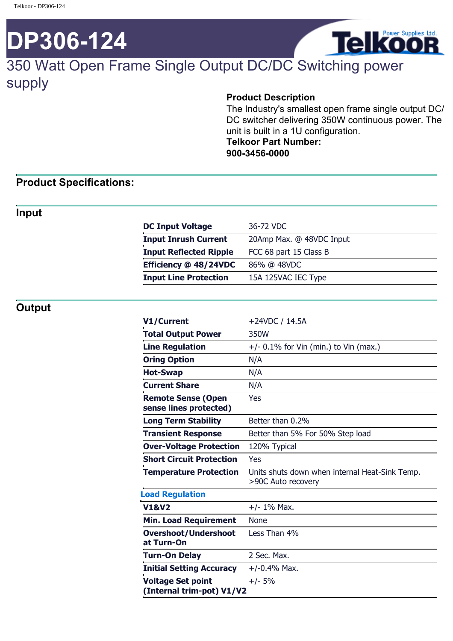# **DP306-124**



# 350 Watt Open Frame Single Output DC/DC Switching power supply

#### **Product Description**

The Industry's smallest open frame single output DC/ DC switcher delivering 350W continuous power. The unit is built in a 1U configuration. **Telkoor Part Number: 900-3456-0000**

## **Product Specifications:**

#### **Input**

| <b>DC Input Voltage</b>       | 36-72 VDC                |
|-------------------------------|--------------------------|
| <b>Input Inrush Current</b>   | 20Amp Max. @ 48VDC Input |
| <b>Input Reflected Ripple</b> | FCC 68 part 15 Class B   |
| Efficiency @ 48/24VDC         | 86% @ 48VDC              |
| <b>Input Line Protection</b>  | 15A 125VAC IEC Type      |
|                               |                          |

### **Output**

| V1/Current                                            | +24VDC / 14.5A                                                       |
|-------------------------------------------------------|----------------------------------------------------------------------|
| <b>Total Output Power</b>                             | 350W                                                                 |
| <b>Line Regulation</b>                                | $+/-$ 0.1% for Vin (min.) to Vin (max.)                              |
| <b>Oring Option</b>                                   | N/A                                                                  |
| <b>Hot-Swap</b>                                       | N/A                                                                  |
| <b>Current Share</b>                                  | N/A                                                                  |
| <b>Remote Sense (Open</b><br>sense lines protected)   | Yes                                                                  |
| <b>Long Term Stability</b>                            | Better than 0.2%                                                     |
| <b>Transient Response</b>                             | Better than 5% For 50% Step load                                     |
| <b>Over-Voltage Protection</b>                        | 120% Typical                                                         |
| <b>Short Circuit Protection</b>                       | Yes                                                                  |
| <b>Temperature Protection</b>                         | Units shuts down when internal Heat-Sink Temp.<br>>90C Auto recovery |
| <b>Load Regulation</b>                                |                                                                      |
| <b>V1&amp;V2</b>                                      | $+/- 1\%$ Max.                                                       |
| <b>Min. Load Requirement</b>                          | <b>None</b>                                                          |
| <b>Overshoot/Undershoot</b><br>at Turn-On             | Less Than 4%                                                         |
| <b>Turn-On Delay</b>                                  | 2 Sec. Max.                                                          |
| <b>Initial Setting Accuracy</b>                       | $+/-0.4%$ Max.                                                       |
| <b>Voltage Set point</b><br>(Internal trim-pot) V1/V2 | $+/- 5%$                                                             |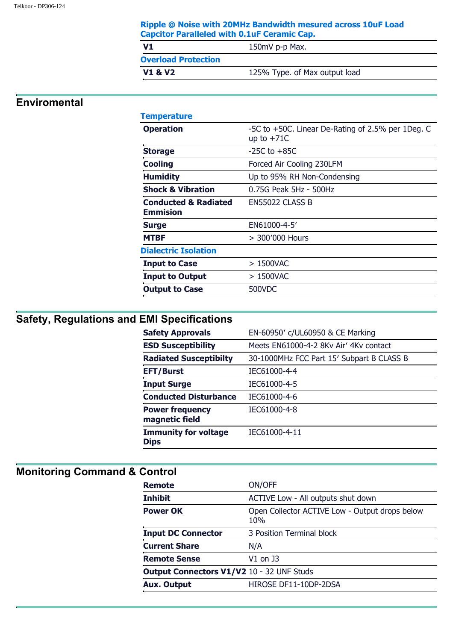| Ripple @ Noise with 20MHz Bandwidth mesured across 10uF Load |
|--------------------------------------------------------------|
| <b>Capcitor Paralleled with 0.1uF Ceramic Cap.</b>           |

| V1                         | 150mV p-p Max.                |
|----------------------------|-------------------------------|
| <b>Overload Protection</b> |                               |
| <b>V1 &amp; V2</b>         | 125% Type. of Max output load |

## **Enviromental**

#### **Temperature**

| .                                                  |                                                                   |
|----------------------------------------------------|-------------------------------------------------------------------|
| <b>Operation</b>                                   | -5C to +50C. Linear De-Rating of 2.5% per 1Deg. C<br>up to $+71C$ |
| <b>Storage</b>                                     | $-25C$ to $+85C$                                                  |
| <b>Cooling</b>                                     | Forced Air Cooling 230LFM                                         |
| <b>Humidity</b>                                    | Up to 95% RH Non-Condensing                                       |
| <b>Shock &amp; Vibration</b>                       | 0.75G Peak 5Hz - 500Hz                                            |
| <b>Conducted &amp; Radiated</b><br><b>Emmision</b> | EN55022 CLASS B                                                   |
| <b>Surge</b>                                       | EN61000-4-5'                                                      |
| <b>MTBF</b>                                        | > 300'000 Hours                                                   |
| <b>Dialectric Isolation</b>                        |                                                                   |
| <b>Input to Case</b>                               | $>1500$ VAC                                                       |
| <b>Input to Output</b>                             | > 1500VAC                                                         |
| <b>Output to Case</b>                              | 500VDC                                                            |
|                                                    |                                                                   |

# **Safety, Regulations and EMI Specifications**

| <b>Safety Approvals</b>                    | EN-60950' c/UL60950 & CE Marking          |
|--------------------------------------------|-------------------------------------------|
| <b>ESD Susceptibility</b>                  | Meets EN61000-4-2 8Ky Air' 4Ky contact    |
| <b>Radiated Susceptibilty</b>              | 30-1000MHz FCC Part 15' Subpart B CLASS B |
| <b>EFT/Burst</b>                           | IEC61000-4-4                              |
| <b>Input Surge</b>                         | IEC61000-4-5                              |
| <b>Conducted Disturbance</b>               | IEC61000-4-6                              |
| <b>Power frequency</b><br>magnetic field   | IEC61000-4-8                              |
| <b>Immunity for voltage</b><br><b>Dips</b> | IEC61000-4-11                             |
|                                            |                                           |

## **Monitoring Command & Control**

| <b>Remote</b>                                    | ON/OFF                                                |
|--------------------------------------------------|-------------------------------------------------------|
| <b>Inhibit</b>                                   | ACTIVE Low - All outputs shut down                    |
| <b>Power OK</b>                                  | Open Collector ACTIVE Low - Output drops below<br>10% |
| <b>Input DC Connector</b>                        | 3 Position Terminal block                             |
| <b>Current Share</b>                             | N/A                                                   |
| <b>Remote Sense</b>                              | $V1$ on J3                                            |
| <b>Output Connectors V1/V2 10 - 32 UNF Studs</b> |                                                       |
| <b>Aux. Output</b>                               | HIROSE DF11-10DP-2DSA                                 |
|                                                  |                                                       |